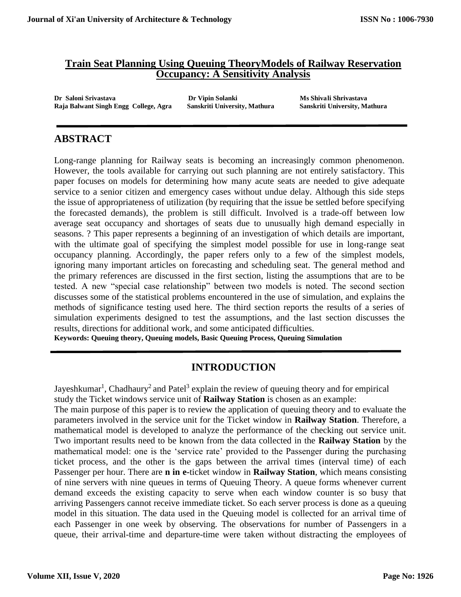### **Train Seat Planning Using Queuing TheoryModels of Railway Reservation Occupancy: A Sensitivity Analysis**

**Dr Saloni Srivastava Dr Vipin Solanki Ms Shivali Shrivastava Raja Balwant Singh Engg College, Agra Sanskriti University, Mathura Sanskriti University, Mathura**

## **ABSTRACT**

Long-range planning for Railway seats is becoming an increasingly common phenomenon. However, the tools available for carrying out such planning are not entirely satisfactory. This paper focuses on models for determining how many acute seats are needed to give adequate service to a senior citizen and emergency cases without undue delay. Although this side steps the issue of appropriateness of utilization (by requiring that the issue be settled before specifying the forecasted demands), the problem is still difficult. Involved is a trade-off between low average seat occupancy and shortages of seats due to unusually high demand especially in seasons. ? This paper represents a beginning of an investigation of which details are important, with the ultimate goal of specifying the simplest model possible for use in long-range seat occupancy planning. Accordingly, the paper refers only to a few of the simplest models, ignoring many important articles on forecasting and scheduling seat. The general method and the primary references are discussed in the first section, listing the assumptions that are to be tested. A new "special case relationship" between two models is noted. The second section discusses some of the statistical problems encountered in the use of simulation, and explains the methods of significance testing used here. The third section reports the results of a series of simulation experiments designed to test the assumptions, and the last section discusses the results, directions for additional work, and some anticipated difficulties.

**Keywords: Queuing theory, Queuing models, Basic Queuing Process, Queuing Simulation**

# **INTRODUCTION**

Jayeshkumar<sup>1</sup>, Chadhaury<sup>2</sup> and Patel<sup>3</sup> explain the review of queuing theory and for empirical study the Ticket windows service unit of **Railway Station** is chosen as an example: The main purpose of this paper is to review the application of queuing theory and to evaluate the parameters involved in the service unit for the Ticket window in **Railway Station**. Therefore, a mathematical model is developed to analyze the performance of the checking out service unit. Two important results need to be known from the data collected in the **Railway Station** by the mathematical model: one is the 'service rate' provided to the Passenger during the purchasing ticket process, and the other is the gaps between the arrival times (interval time) of each Passenger per hour. There are **n in e-**ticket window in **Railway Station**, which means consisting of nine servers with nine queues in terms of Queuing Theory. A queue forms whenever current demand exceeds the existing capacity to serve when each window counter is so busy that arriving Passengers cannot receive immediate ticket. So each server process is done as a queuing model in this situation. The data used in the Queuing model is collected for an arrival time of each Passenger in one week by observing. The observations for number of Passengers in a queue, their arrival-time and departure-time were taken without distracting the employees of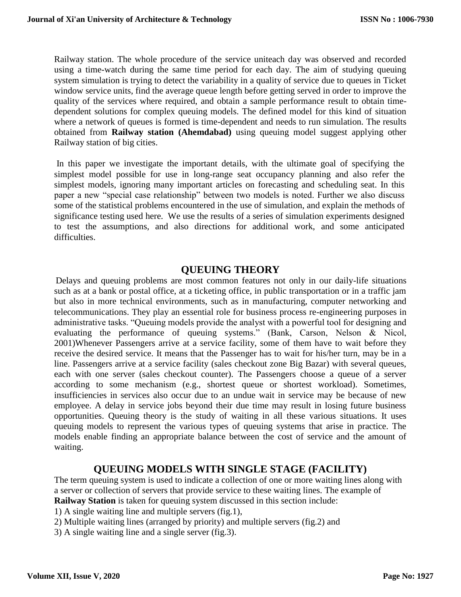Railway station. The whole procedure of the service uniteach day was observed and recorded using a time-watch during the same time period for each day. The aim of studying queuing system simulation is trying to detect the variability in a quality of service due to queues in Ticket window service units, find the average queue length before getting served in order to improve the quality of the services where required, and obtain a sample performance result to obtain timedependent solutions for complex queuing models. The defined model for this kind of situation where a network of queues is formed is time-dependent and needs to run simulation. The results obtained from **Railway station (Ahemdabad)** using queuing model suggest applying other Railway station of big cities.

In this paper we investigate the important details, with the ultimate goal of specifying the simplest model possible for use in long-range seat occupancy planning and also refer the simplest models, ignoring many important articles on forecasting and scheduling seat. In this paper a new "special case relationship" between two models is noted. Further we also discuss some of the statistical problems encountered in the use of simulation, and explain the methods of significance testing used here. We use the results of a series of simulation experiments designed to test the assumptions, and also directions for additional work, and some anticipated difficulties.

### **QUEUING THEORY**

Delays and queuing problems are most common features not only in our daily-life situations such as at a bank or postal office, at a ticketing office, in public transportation or in a traffic jam but also in more technical environments, such as in manufacturing, computer networking and telecommunications. They play an essential role for business process re-engineering purposes in administrative tasks. "Queuing models provide the analyst with a powerful tool for designing and evaluating the performance of queuing systems." (Bank, Carson, Nelson & Nicol, 2001)Whenever Passengers arrive at a service facility, some of them have to wait before they receive the desired service. It means that the Passenger has to wait for his/her turn, may be in a line. Passengers arrive at a service facility (sales checkout zone Big Bazar) with several queues, each with one server (sales checkout counter). The Passengers choose a queue of a server according to some mechanism (e.g., shortest queue or shortest workload). Sometimes, insufficiencies in services also occur due to an undue wait in service may be because of new employee. A delay in service jobs beyond their due time may result in losing future business opportunities. Queuing theory is the study of waiting in all these various situations. It uses queuing models to represent the various types of queuing systems that arise in practice. The models enable finding an appropriate balance between the cost of service and the amount of waiting.

### **QUEUING MODELS WITH SINGLE STAGE (FACILITY)**

The term queuing system is used to indicate a collection of one or more waiting lines along with a server or collection of servers that provide service to these waiting lines. The example of **Railway Station** is taken for queuing system discussed in this section include:

- 1) A single waiting line and multiple servers (fig.1),
- 2) Multiple waiting lines (arranged by priority) and multiple servers (fig.2) and
- 3) A single waiting line and a single server (fig.3).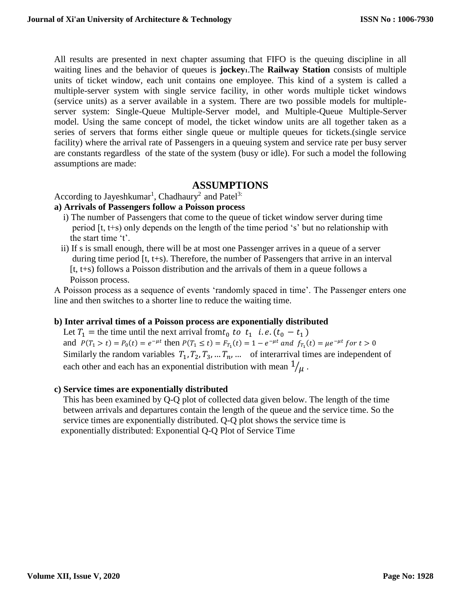All results are presented in next chapter assuming that FIFO is the queuing discipline in all waiting lines and the behavior of queues is **jockey1**.The **Railway Station** consists of multiple units of ticket window, each unit contains one employee. This kind of a system is called a multiple-server system with single service facility, in other words multiple ticket windows (service units) as a server available in a system. There are two possible models for multipleserver system: Single-Queue Multiple-Server model, and Multiple-Queue Multiple-Server model. Using the same concept of model, the ticket window units are all together taken as a series of servers that forms either single queue or multiple queues for tickets.(single service facility) where the arrival rate of Passengers in a queuing system and service rate per busy server are constants regardless of the state of the system (busy or idle). For such a model the following assumptions are made:

### **ASSUMPTIONS**

According to Jayeshkumar<sup>1</sup>, Chadhaury<sup>2</sup> and Patel<sup>3:</sup>

#### **a) Arrivals of Passengers follow a Poisson process**

- i) The number of Passengers that come to the queue of ticket window server during time period [t, t+s) only depends on the length of the time period 's' but no relationship with the start time 't'.
- ii) If s is small enough, there will be at most one Passenger arrives in a queue of a server during time period [t, t+s). Therefore, the number of Passengers that arrive in an interval [t, t+s) follows a Poisson distribution and the arrivals of them in a queue follows a Poisson process.

A Poisson process as a sequence of events 'randomly spaced in time'. The Passenger enters one line and then switches to a shorter line to reduce the waiting time.

#### **b) Inter arrival times of a Poisson process are exponentially distributed**

Let  $T_1$  = the time until the next arrival from  $t_0$  to  $t_1$  i.e.  $(t_0 - t_1)$ and  $P(T_1 > t) = P_0(t) = e^{-\mu t}$  then  $P(T_1 \le t) = F_{T_1}(t) = 1 - e^{-\mu t}$  and  $f_{T_1}(t) = \mu e^{-\mu t}$  for  $t > 0$ Similarly the random variables  $T_1, T_2, T_3, \dots, T_n, \dots$  of interarrival times are independent of each other and each has an exponential distribution with mean  $1/\mu$ .

#### **c) Service times are exponentially distributed**

 This has been examined by Q-Q plot of collected data given below. The length of the time between arrivals and departures contain the length of the queue and the service time. So the service times are exponentially distributed. Q-Q plot shows the service time is exponentially distributed: Exponential Q-Q Plot of Service Time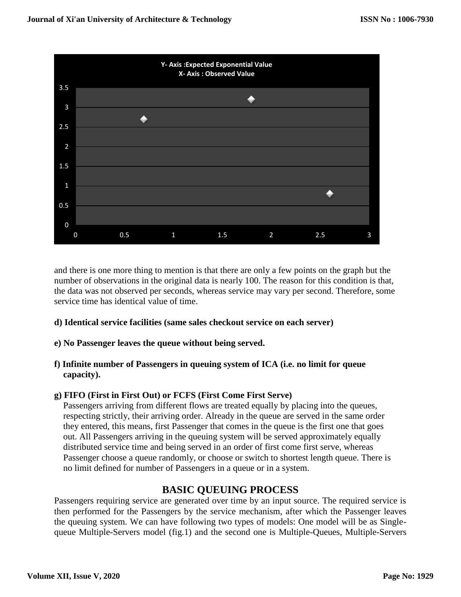

and there is one more thing to mention is that there are only a few points on the graph but the number of observations in the original data is nearly 100. The reason for this condition is that, the data was not observed per seconds, whereas service may vary per second. Therefore, some service time has identical value of time.

- **d) Identical service facilities (same sales checkout service on each server)**
- **e) No Passenger leaves the queue without being served.**
- **f) Infinite number of Passengers in queuing system of ICA (i.e. no limit for queue capacity).**

#### **g) FIFO (First in First Out) or FCFS (First Come First Serve)**

 Passengers arriving from different flows are treated equally by placing into the queues, respecting strictly, their arriving order. Already in the queue are served in the same order they entered, this means, first Passenger that comes in the queue is the first one that goes out. All Passengers arriving in the queuing system will be served approximately equally distributed service time and being served in an order of first come first serve, whereas Passenger choose a queue randomly, or choose or switch to shortest length queue. There is no limit defined for number of Passengers in a queue or in a system.

### **BASIC QUEUING PROCESS**

Passengers requiring service are generated over time by an input source. The required service is then performed for the Passengers by the service mechanism, after which the Passenger leaves the queuing system. We can have following two types of models: One model will be as Singlequeue Multiple-Servers model (fig.1) and the second one is Multiple-Queues, Multiple-Servers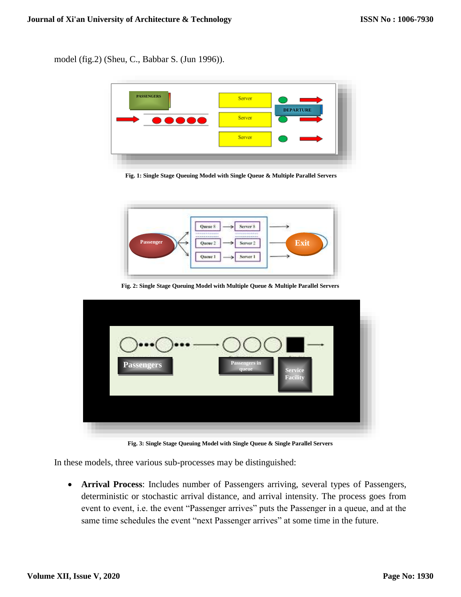model (fig.2) (Sheu, C., Babbar S. (Jun 1996)).



**Fig. 1: Single Stage Queuing Model with Single Queue & Multiple Parallel Servers**



**Fig. 2: Single Stage Queuing Model with Multiple Queue & Multiple Parallel Servers**

| Passengers in<br>Passengers<br>queue<br><b>Service</b><br>Facility |  |
|--------------------------------------------------------------------|--|
|                                                                    |  |

**Fig. 3: Single Stage Queuing Model with Single Queue & Single Parallel Servers**

In these models, three various sub-processes may be distinguished:

 **Arrival Process**: Includes number of Passengers arriving, several types of Passengers, deterministic or stochastic arrival distance, and arrival intensity. The process goes from event to event, i.e. the event "Passenger arrives" puts the Passenger in a queue, and at the same time schedules the event "next Passenger arrives" at some time in the future.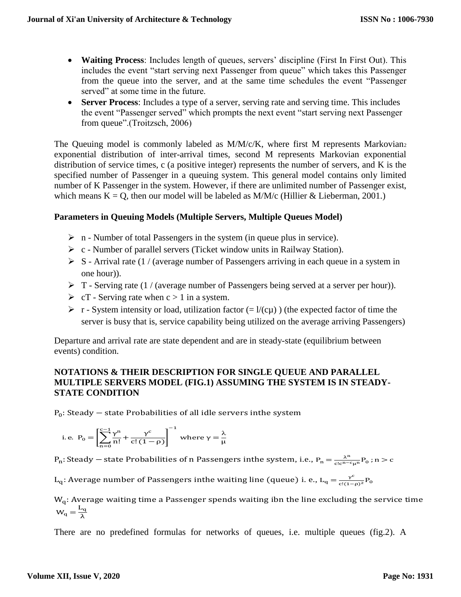- **Waiting Process**: Includes length of queues, servers' discipline (First In First Out). This includes the event "start serving next Passenger from queue" which takes this Passenger from the queue into the server, and at the same time schedules the event "Passenger served" at some time in the future.
- **Server Process**: Includes a type of a server, serving rate and serving time. This includes the event "Passenger served" which prompts the next event "start serving next Passenger from queue".(Troitzsch, 2006)

The Queuing model is commonly labeled as M/M/c/K, where first M represents Markovian<sub>2</sub> exponential distribution of inter-arrival times, second M represents Markovian exponential distribution of service times, c (a positive integer) represents the number of servers, and K is the specified number of Passenger in a queuing system. This general model contains only limited number of K Passenger in the system. However, if there are unlimited number of Passenger exist, which means  $K = Q$ , then our model will be labeled as  $M/M/c$  (Hillier & Lieberman, 2001.)

#### **Parameters in Queuing Models (Multiple Servers, Multiple Queues Model)**

- $\triangleright$  n Number of total Passengers in the system (in queue plus in service).
- $\triangleright$  c Number of parallel servers (Ticket window units in Railway Station).
- $\triangleright$  S Arrival rate (1 / (average number of Passengers arriving in each queue in a system in one hour)).
- $\triangleright$  T Serving rate (1 / (average number of Passengers being served at a server per hour)).
- $\triangleright$  cT Serving rate when c > 1 in a system.
- $\triangleright$  r System intensity or load, utilization factor (=  $1/(c\mu)$ ) (the expected factor of time the server is busy that is, service capability being utilized on the average arriving Passengers)

Departure and arrival rate are state dependent and are in steady-state (equilibrium between events) condition.

#### **NOTATIONS & THEIR DESCRIPTION FOR SINGLE QUEUE AND PARALLEL MULTIPLE SERVERS MODEL (FIG.1) ASSUMING THE SYSTEM IS IN STEADY-STATE CONDITION**

 $P_0$ : Steady – state Probabilities of all idle servers inthe system

i.e. 
$$
P_0 = \left[\sum_{n=0}^{c-1} \frac{\gamma^n}{n!} + \frac{\gamma^c}{c!(1-\rho)}\right]^{-1}
$$
 where  $\gamma = \frac{\lambda}{\mu}$ 

 $P_n$ : Steady – state Probabilities of n Passengers inthe system, i.e.,  $P_n = \frac{\lambda^n}{c! c^{n-r}}$  $\frac{\lambda^n}{c!c^{n-c}\mu^n}P_0$ ; n > c

L<sub>q</sub>: Average number of Passengers inthe waiting line (queue) i. e., L<sub>q</sub> =  $\frac{v^c}{c!(1-\epsilon)^{1-\epsilon}}$  $\frac{\gamma^c}{c!(1-\rho)^2}P_0$ 

 $W_q$ : Average waiting time a Passenger spends waiting ibn the line excluding the service time  $W_q = \frac{L_q}{\lambda}$ λ

There are no predefined formulas for networks of queues, i.e. multiple queues (fig.2). A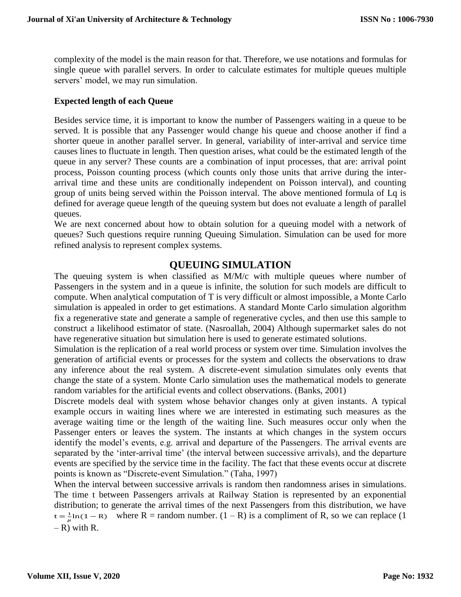complexity of the model is the main reason for that. Therefore, we use notations and formulas for single queue with parallel servers. In order to calculate estimates for multiple queues multiple servers' model, we may run simulation.

#### **Expected length of each Queue**

Besides service time, it is important to know the number of Passengers waiting in a queue to be served. It is possible that any Passenger would change his queue and choose another if find a shorter queue in another parallel server. In general, variability of inter-arrival and service time causes lines to fluctuate in length. Then question arises, what could be the estimated length of the queue in any server? These counts are a combination of input processes, that are: arrival point process, Poisson counting process (which counts only those units that arrive during the interarrival time and these units are conditionally independent on Poisson interval), and counting group of units being served within the Poisson interval. The above mentioned formula of Lq is defined for average queue length of the queuing system but does not evaluate a length of parallel queues.

We are next concerned about how to obtain solution for a queuing model with a network of queues? Such questions require running Queuing Simulation. Simulation can be used for more refined analysis to represent complex systems.

## **QUEUING SIMULATION**

The queuing system is when classified as M/M/c with multiple queues where number of Passengers in the system and in a queue is infinite, the solution for such models are difficult to compute. When analytical computation of T is very difficult or almost impossible, a Monte Carlo simulation is appealed in order to get estimations. A standard Monte Carlo simulation algorithm fix a regenerative state and generate a sample of regenerative cycles, and then use this sample to construct a likelihood estimator of state. (Nasroallah, 2004) Although supermarket sales do not have regenerative situation but simulation here is used to generate estimated solutions.

Simulation is the replication of a real world process or system over time. Simulation involves the generation of artificial events or processes for the system and collects the observations to draw any inference about the real system. A discrete-event simulation simulates only events that change the state of a system. Monte Carlo simulation uses the mathematical models to generate random variables for the artificial events and collect observations. (Banks, 2001)

Discrete models deal with system whose behavior changes only at given instants. A typical example occurs in waiting lines where we are interested in estimating such measures as the average waiting time or the length of the waiting line. Such measures occur only when the Passenger enters or leaves the system. The instants at which changes in the system occurs identify the model's events, e.g. arrival and departure of the Passengers. The arrival events are separated by the 'inter-arrival time' (the interval between successive arrivals), and the departure events are specified by the service time in the facility. The fact that these events occur at discrete points is known as "Discrete-event Simulation." (Taha, 1997)

When the interval between successive arrivals is random then randomness arises in simulations. The time t between Passengers arrivals at Railway Station is represented by an exponential distribution; to generate the arrival times of the next Passengers from this distribution, we have  $t = \frac{1}{u}$  $\frac{1}{\mu}$ ln(1−R) where R = random number. (1−R) is a compliment of R, so we can replace (1  $- R$ ) with R.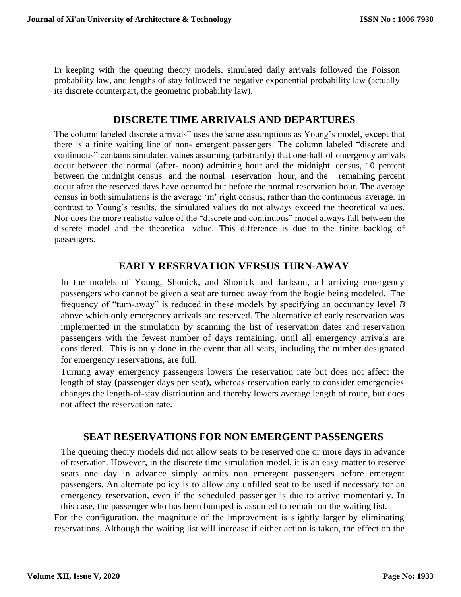In keeping with the queuing theory models, simulated daily arrivals followed the Poisson probability law, and lengths of stay followed the negative exponential probability law (actually its discrete counterpart, the geometric probability law).

## **DISCRETE TIME ARRIVALS AND DEPARTURES**

The column labeled discrete arrivals" uses the same assumptions as Young's model, except that there is a finite waiting line of non- emergent passengers. The column labeled "discrete and continuous" contains simulated values assuming (arbitrarily) that one-half of emergency arrivals occur between the normal (after- noon) admitting hour and the midnight census, 10 percent between the midnight census and the normal reservation hour, and the remaining percent occur after the reserved days have occurred but before the normal reservation hour. The average census in both simulations is the average 'm' right census, rather than the continuous average. In contrast to Young's results, the simulated values do not always exceed the theoretical values. Nor does the more realistic value of the "discrete and continuous" model always fall between the discrete model and the theoretical value. This difference is due to the finite backlog of passengers.

## **EARLY RESERVATION VERSUS TURN-AWAY**

In the models of Young, Shonick, and Shonick and Jackson, all arriving emergency passengers who cannot be given a seat are turned away from the bogie being modeled. The frequency of "turn-away" is reduced in these models by specifying an occupancy level *B*  above which only emergency arrivals are reserved. The alternative of early reservation was implemented in the simulation by scanning the list of reservation dates and reservation passengers with the fewest number of days remaining, until all emergency arrivals are considered. This is only done in the event that all seats, including the number designated for emergency reservations, are full.

Turning away emergency passengers lowers the reservation rate but does not affect the length of stay (passenger days per seat), whereas reservation early to consider emergencies changes the length-of-stay distribution and thereby lowers average length of route, but does not affect the reservation rate.

### **SEAT RESERVATIONS FOR NON EMERGENT PASSENGERS**

The queuing theory models did not allow seats to be reserved one or more days in advance of reservation. However, in the discrete time simulation model, it is an easy matter to reserve seats one day in advance simply admits non emergent passengers before emergent passengers. An alternate policy is to allow any unfilled seat to be used if necessary for an emergency reservation, even if the scheduled passenger is due to arrive momentarily. In this case, the passenger who has been bumped is assumed to remain on the waiting list.

For the configuration, the magnitude of the improvement is slightly larger by eliminating reservations. Although the waiting list will increase if either action is taken, the effect on the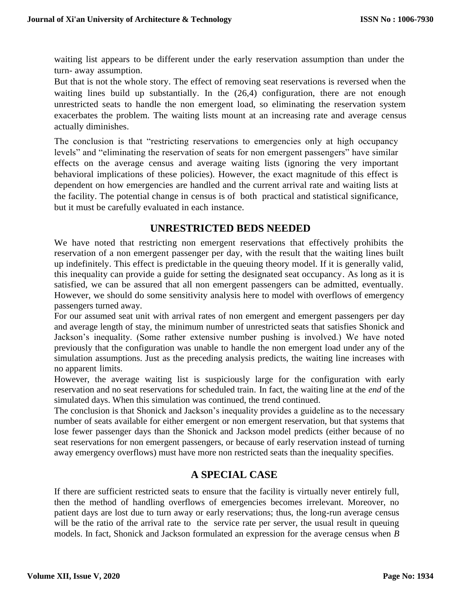waiting list appears to be different under the early reservation assumption than under the turn- away assumption.

But that is not the whole story. The effect of removing seat reservations is reversed when the waiting lines build up substantially. In the  $(26,4)$  configuration, there are not enough unrestricted seats to handle the non emergent load, so eliminating the reservation system exacerbates the problem. The waiting lists mount at an increasing rate and average census actually diminishes.

The conclusion is that "restricting reservations to emergencies only at high occupancy levels" and "eliminating the reservation of seats for non emergent passengers" have similar effects on the average census and average waiting lists (ignoring the very important behavioral implications of these policies). However, the exact magnitude of this effect is dependent on how emergencies are handled and the current arrival rate and waiting lists at the facility. The potential change in census is of both practical and statistical significance, but it must be carefully evaluated in each instance.

## **UNRESTRICTED BEDS NEEDED**

We have noted that restricting non emergent reservations that effectively prohibits the reservation of a non emergent passenger per day, with the result that the waiting lines built up indefinitely. This effect is predictable in the queuing theory model. If it is generally valid, this inequality can provide a guide for setting the designated seat occupancy*.* As long as it is satisfied, we can be assured that all non emergent passengers can be admitted, eventually. However, we should do some sensitivity analysis here to model with overflows of emergency passengers turned away.

For our assumed seat unit with arrival rates of non emergent and emergent passengers per day and average length of stay, the minimum number of unrestricted seats that satisfies Shonick and Jackson's inequality. (Some rather extensive number pushing is involved.) We have noted previously that the configuration was unable to handle the non emergent load under any of the simulation assumptions. Just as the preceding analysis predicts, the waiting line increases with no apparent limits.

However, the average waiting list is suspiciously large for the configuration with early reservation and no seat reservations for scheduled train. In fact, the waiting line at the *end* of the simulated days. When this simulation was continued, the trend continued.

The conclusion is that Shonick and Jackson's inequality provides a guideline as to the necessary number of seats available for either emergent or non emergent reservation, but that systems that lose fewer passenger days than the Shonick and Jackson model predicts (either because of no seat reservations for non emergent passengers, or because of early reservation instead of turning away emergency overflows) must have more non restricted seats than the inequality specifies.

### **A SPECIAL CASE**

If there are sufficient restricted seats to ensure that the facility is virtually never entirely full, then the method of handling overflows of emergencies becomes irrelevant. Moreover, no patient days are lost due to turn away or early reservations; thus, the long-run average census will be the ratio of the arrival rate to the service rate per server, the usual result in queuing models. In fact, Shonick and Jackson formulated an expression for the average census when *B*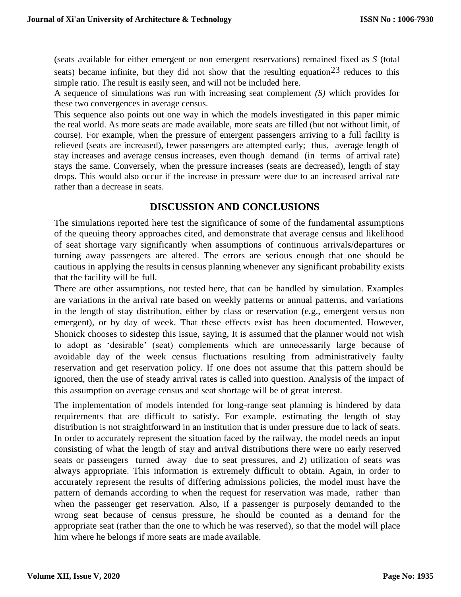(seats available for either emergent or non emergent reservations) remained fixed as *S* (total seats) became infinite, but they did not show that the resulting equation  $2^3$  reduces to this simple ratio. The result is easily seen, and will not be included here.

A sequence of simulations was run with increasing seat complement *(S)* which provides for these two convergences in average census.

This sequence also points out one way in which the models investigated in this paper mimic the real world. As more seats are made available, more seats are filled (but not without limit, of course). For example, when the pressure of emergent passengers arriving to a full facility is relieved (seats are increased), fewer passengers are attempted early; thus, average length of stay increases and average census increases, even though demand (in terms of arrival rate) stays the same. Conversely, when the pressure increases (seats are decreased), length of stay drops. This would also occur if the increase in pressure were due to an increased arrival rate rather than a decrease in seats.

## **DISCUSSION AND CONCLUSIONS**

The simulations reported here test the significance of some of the fundamental assumptions of the queuing theory approaches cited, and demonstrate that average census and likelihood of seat shortage vary significantly when assumptions of continuous arrivals/departures or turning away passengers are altered. The errors are serious enough that one should be cautious in applying the results in census planning whenever any significant probability exists that the facility will be full.

There are other assumptions, not tested here, that can be handled by simulation. Examples are variations in the arrival rate based on weekly patterns or annual patterns, and variations in the length of stay distribution, either by class or reservation (e.g., emergent versus non emergent), or by day of week. That these effects exist has been documented. However, Shonick chooses to sidestep this issue, saying, It is assumed that the planner would not wish to adopt as 'desirable' (seat) complements which are unnecessarily large because of avoidable day of the week census fluctuations resulting from administratively faulty reservation and get reservation policy. If one does not assume that this pattern should be ignored, then the use of steady arrival rates is called into question. Analysis of the impact of this assumption on average census and seat shortage will be of great interest.

The implementation of models intended for long-range seat planning is hindered by data requirements that are difficult to satisfy. For example, estimating the length of stay distribution is not straightforward in an institution that is under pressure due to lack of seats. In order to accurately represent the situation faced by the railway, the model needs an input consisting of what the length of stay and arrival distributions there were no early reserved seats or passengers turned away due to seat pressures, and 2) utilization of seats was always appropriate. This information is extremely difficult to obtain. Again, in order to accurately represent the results of differing admissions policies, the model must have the pattern of demands according to when the request for reservation was made, rather than when the passenger get reservation. Also, if a passenger is purposely demanded to the wrong seat because of census pressure, he should be counted as a demand for the appropriate seat (rather than the one to which he was reserved), so that the model will place him where he belongs if more seats are made available.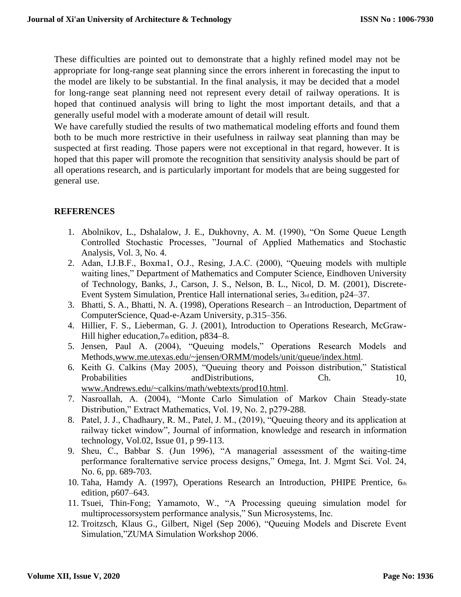These difficulties are pointed out to demonstrate that a highly refined model may not be appropriate for long-range seat planning since the errors inherent in forecasting the input to the model are likely to be substantial. In the final analysis, it may be decided that a model for long-range seat planning need not represent every detail of railway operations. It is hoped that continued analysis will bring to light the most important details, and that a generally useful model with a moderate amount of detail will result.

We have carefully studied the results of two mathematical modeling efforts and found them both to be much more restrictive in their usefulness in railway seat planning than may be suspected at first reading. Those papers were not exceptional in that regard, however. It is hoped that this paper will promote the recognition that sensitivity analysis should be part of all operations research, and is particularly important for models that are being suggested for general use.

### **REFERENCES**

- 1. Abolnikov, L., Dshalalow, J. E., Dukhovny, A. M. (1990), "On Some Queue Length Controlled Stochastic Processes, "Journal of Applied Mathematics and Stochastic Analysis, Vol. 3, No. 4.
- 2. Adan, I.J.B.F., Boxma1, O.J., Resing, J.A.C. (2000), "Queuing models with multiple waiting lines," Department of Mathematics and Computer Science, Eindhoven University of Technology, Banks, J., Carson, J. S., Nelson, B. L., Nicol, D. M. (2001), Discrete-Event System Simulation, Prentice Hall international series, 3rd edition, p24–37.
- 3. Bhatti, S. A., Bhatti, N. A. (1998), Operations Research an Introduction, Department of ComputerScience, Quad-e-Azam University, p.315–356.
- 4. Hillier, F. S., Lieberman, G. J. (2001), Introduction to Operations Research, McGraw-Hill higher education,  $7<sub>th</sub>$  edition,  $p834-8$ .
- 5. Jensen, Paul A. (2004), "Queuing models," Operations Research Models and Methods[,www.me.utexas.edu/~jensen/ORMM/models/unit/queue/index.html](http://www.me.utexas.edu/~jensen/ORMM/models/unit/queue/index.html).
- 6. Keith G. Calkins (May 2005), "Queuing theory and Poisson distribution," Statistical Probabilities and Distributions, Ch. 10, 10, [www.Andrews.edu/~calkins/math/webtexts/prod10.html](http://www.andrews.edu/~calkins/math/webtexts/prod10.html).
- 7. Nasroallah, A. (2004), "Monte Carlo Simulation of Markov Chain Steady-state Distribution," Extract Mathematics, Vol. 19, No. 2, p279-288.
- 8. Patel, J. J., Chadhaury, R. M., Patel, J. M., (2019), "Queuing theory and its application at railway ticket window", Journal of information, knowledge and research in information technology, Vol.02, Issue 01, p 99-113.
- 9. Sheu, C., Babbar S. (Jun 1996), "A managerial assessment of the waiting-time performance foralternative service process designs," Omega, Int. J. Mgmt Sci. Vol. 24, No. 6, pp. 689-703.
- 10. Taha, Hamdy A. (1997), Operations Research an Introduction, PHIPE Prentice, 6th edition, p607–643.
- 11. Tsuei, Thin-Fong; Yamamoto, W., "A Processing queuing simulation model for multiprocessorsystem performance analysis," Sun Microsystems, Inc.
- 12. Troitzsch, Klaus G., Gilbert, Nigel (Sep 2006), "Queuing Models and Discrete Event Simulation,"ZUMA Simulation Workshop 2006.